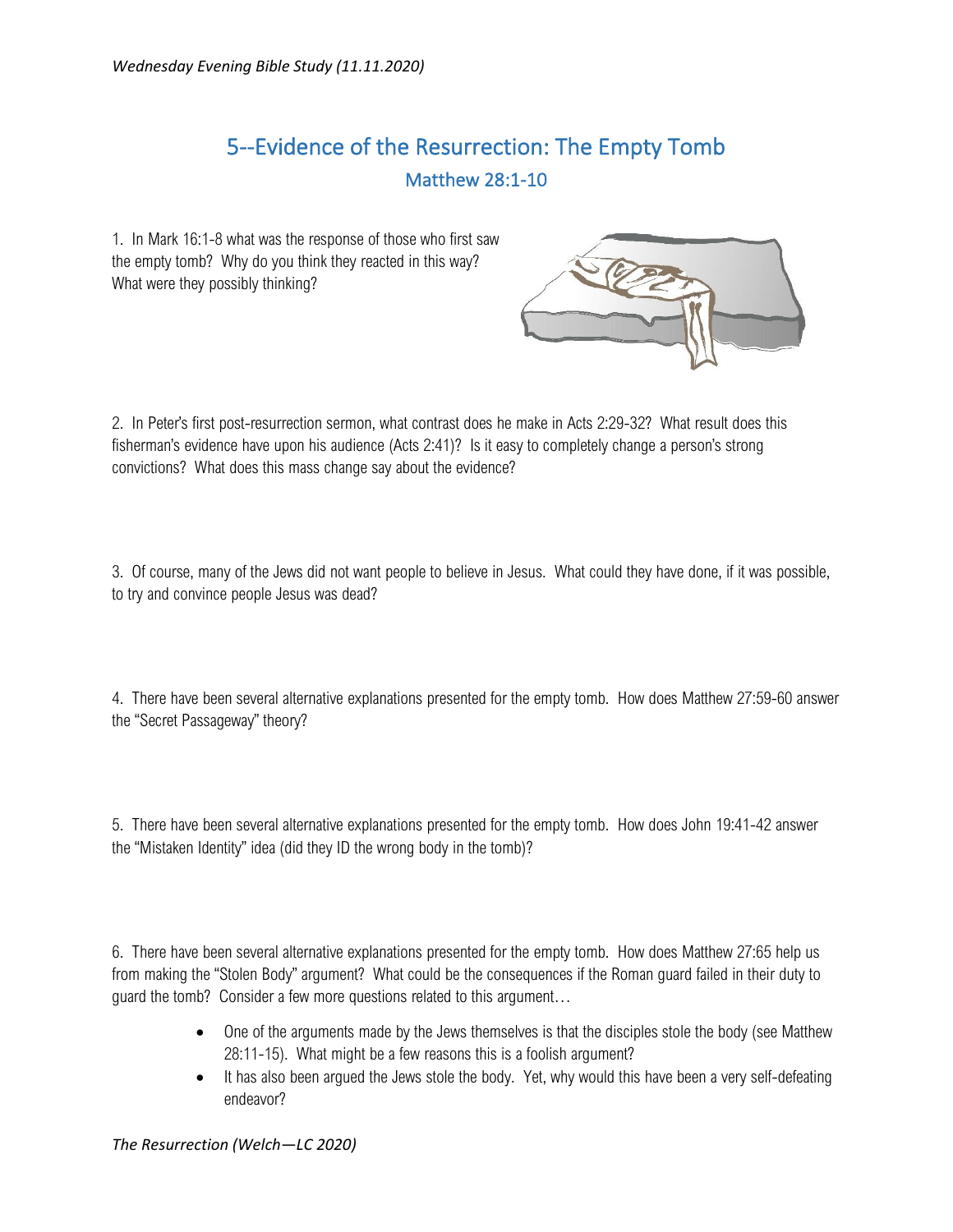## 5--Evidence of the Resurrection: The Empty Tomb Matthew 28:1-10

1. In Mark 16:1-8 what was the response of those who first saw the empty tomb? Why do you think they reacted in this way? What were they possibly thinking?



2. In Peter's first post-resurrection sermon, what contrast does he make in Acts 2:29-32? What result does this fisherman's evidence have upon his audience (Acts 2:41)? Is it easy to completely change a person's strong convictions? What does this mass change say about the evidence?

3. Of course, many of the Jews did not want people to believe in Jesus. What could they have done, if it was possible, to try and convince people Jesus was dead?

4. There have been several alternative explanations presented for the empty tomb. How does Matthew 27:59-60 answer the "Secret Passageway" theory?

5. There have been several alternative explanations presented for the empty tomb. How does John 19:41-42 answer the "Mistaken Identity" idea (did they ID the wrong body in the tomb)?

6. There have been several alternative explanations presented for the empty tomb. How does Matthew 27:65 help us from making the "Stolen Body" argument? What could be the consequences if the Roman guard failed in their duty to guard the tomb? Consider a few more questions related to this argument…

- One of the arguments made by the Jews themselves is that the disciples stole the body (see Matthew 28:11-15). What might be a few reasons this is a foolish argument?
- It has also been argued the Jews stole the body. Yet, why would this have been a very self-defeating endeavor?